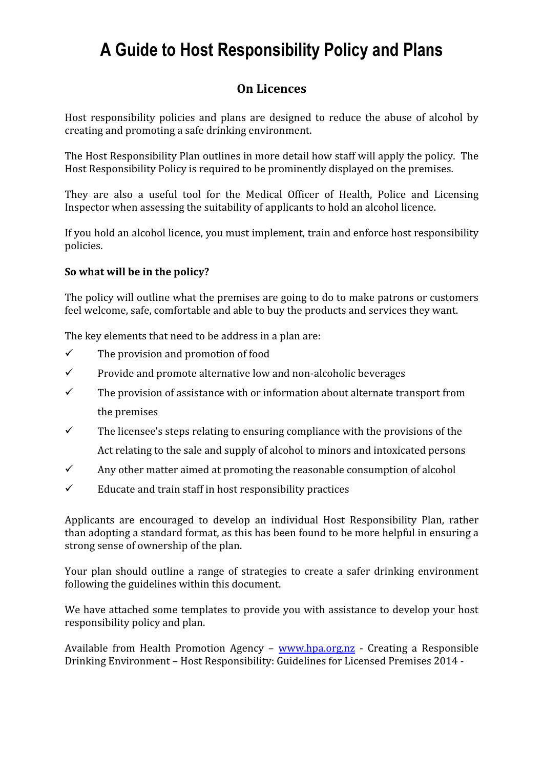# A Guide to Host Responsibility Policy and Plans

## On Licences

Host responsibility policies and plans are designed to reduce the abuse of alcohol by creating and promoting a safe drinking environment.

The Host Responsibility Plan outlines in more detail how staff will apply the policy. The Host Responsibility Policy is required to be prominently displayed on the premises.

They are also a useful tool for the Medical Officer of Health, Police and Licensing Inspector when assessing the suitability of applicants to hold an alcohol licence.

If you hold an alcohol licence, you must implement, train and enforce host responsibility policies.

#### So what will be in the policy?

The policy will outline what the premises are going to do to make patrons or customers feel welcome, safe, comfortable and able to buy the products and services they want.

The key elements that need to be address in a plan are:

- $\checkmark$  The provision and promotion of food
- $\checkmark$  Provide and promote alternative low and non-alcoholic beverages
- $\checkmark$  The provision of assistance with or information about alternate transport from the premises
- $\checkmark$  The licensee's steps relating to ensuring compliance with the provisions of the Act relating to the sale and supply of alcohol to minors and intoxicated persons
- $\checkmark$  Any other matter aimed at promoting the reasonable consumption of alcohol
- $\checkmark$  Educate and train staff in host responsibility practices

Applicants are encouraged to develop an individual Host Responsibility Plan, rather than adopting a standard format, as this has been found to be more helpful in ensuring a strong sense of ownership of the plan.

Your plan should outline a range of strategies to create a safer drinking environment following the guidelines within this document.

We have attached some templates to provide you with assistance to develop your host responsibility policy and plan.

Available from Health Promotion Agency – www.hpa.org.nz - Creating a Responsible Drinking Environment – Host Responsibility: Guidelines for Licensed Premises 2014 -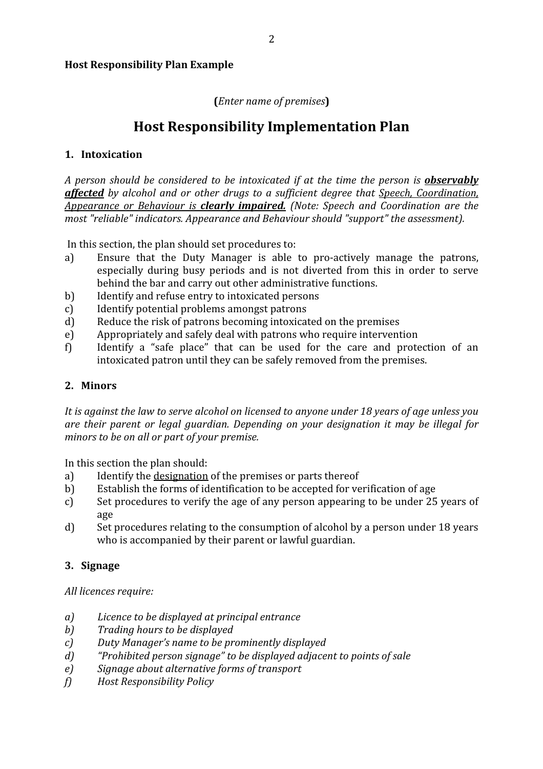#### Host Responsibility Plan Example

#### (Enter name of premises)

## Host Responsibility Implementation Plan

#### 1. Intoxication

A person should be considered to be intoxicated if at the time the person is **observably affected** by alcohol and or other drugs to a sufficient degree that Speech, Coordination, Appearance or Behaviour is clearly *impaired.* (Note: Speech and Coordination are the most "reliable" indicators. Appearance and Behaviour should "support" the assessment).

In this section, the plan should set procedures to:

- a) Ensure that the Duty Manager is able to pro-actively manage the patrons, especially during busy periods and is not diverted from this in order to serve behind the bar and carry out other administrative functions.
- b) Identify and refuse entry to intoxicated persons
- c) Identify potential problems amongst patrons
- d) Reduce the risk of patrons becoming intoxicated on the premises
- e) Appropriately and safely deal with patrons who require intervention
- f) Identify a "safe place" that can be used for the care and protection of an intoxicated patron until they can be safely removed from the premises.

#### 2. Minors

It is against the law to serve alcohol on licensed to anyone under 18 years of age unless you are their parent or legal guardian. Depending on your designation it may be illegal for minors to be on all or part of your premise.

In this section the plan should:

- a) Identify the designation of the premises or parts thereof
- b) Establish the forms of identification to be accepted for verification of age
- c) Set procedures to verify the age of any person appearing to be under 25 years of age
- d) Set procedures relating to the consumption of alcohol by a person under 18 years who is accompanied by their parent or lawful guardian.

#### 3. Signage

All licences require:

- a) Licence to be displayed at principal entrance
- b) Trading hours to be displayed
- c) Duty Manager's name to be prominently displayed
- d) "Prohibited person signage" to be displayed adjacent to points of sale
- e) Signage about alternative forms of transport
- f) Host Responsibility Policy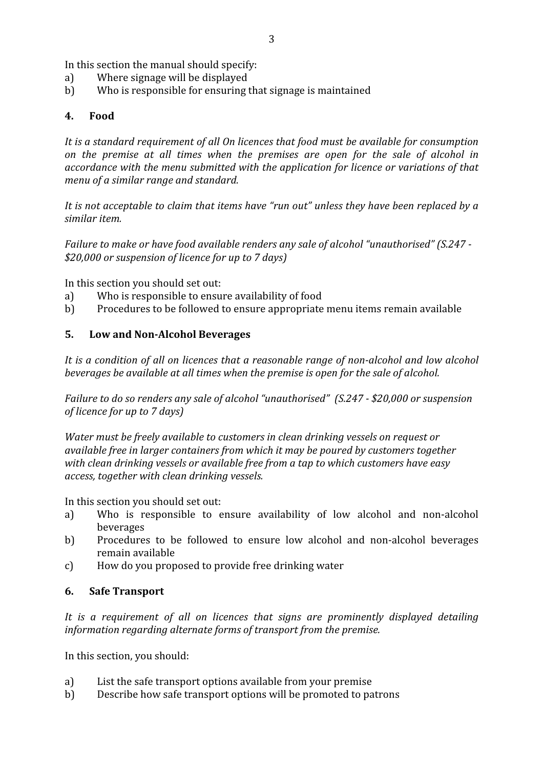In this section the manual should specify:

- a) Where signage will be displayed
- b) Who is responsible for ensuring that signage is maintained

#### 4. Food

It is a standard requirement of all On licences that food must be available for consumption on the premise at all times when the premises are open for the sale of alcohol in accordance with the menu submitted with the application for licence or variations of that menu of a similar range and standard.

It is not acceptable to claim that items have "run out" unless they have been replaced by a similar item.

Failure to make or have food available renders any sale of alcohol "unauthorised" (S.247 - \$20,000 or suspension of licence for up to 7 days)

In this section you should set out:

- a) Who is responsible to ensure availability of food
- b) Procedures to be followed to ensure appropriate menu items remain available

#### 5. Low and Non-Alcohol Beverages

It is a condition of all on licences that a reasonable range of non-alcohol and low alcohol beverages be available at all times when the premise is open for the sale of alcohol.

Failure to do so renders any sale of alcohol "unauthorised" (S.247 - \$20,000 or suspension of licence for up to 7 days)

Water must be freely available to customers in clean drinking vessels on request or available free in larger containers from which it may be poured by customers together with clean drinking vessels or available free from a tap to which customers have easy access, together with clean drinking vessels.

In this section you should set out:

- a) Who is responsible to ensure availability of low alcohol and non-alcohol beverages
- b) Procedures to be followed to ensure low alcohol and non-alcohol beverages remain available
- c) How do you proposed to provide free drinking water

#### 6. Safe Transport

It is a requirement of all on licences that signs are prominently displayed detailing information regarding alternate forms of transport from the premise.

In this section, you should:

- a) List the safe transport options available from your premise
- b) Describe how safe transport options will be promoted to patrons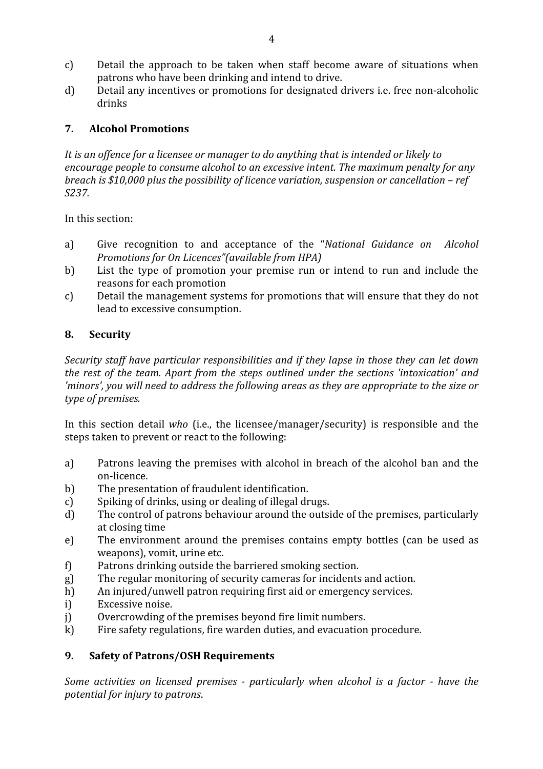- c) Detail the approach to be taken when staff become aware of situations when patrons who have been drinking and intend to drive.
- d) Detail any incentives or promotions for designated drivers i.e. free non-alcoholic drinks

#### 7. Alcohol Promotions

It is an offence for a licensee or manager to do anything that is intended or likely to encourage people to consume alcohol to an excessive intent. The maximum penalty for any breach is \$10,000 plus the possibility of licence variation, suspension or cancellation – ref S237.

In this section:

- a) Give recognition to and acceptance of the "National Guidance on Alcohol Promotions for On Licences"(available from HPA)
- b) List the type of promotion your premise run or intend to run and include the reasons for each promotion
- c) Detail the management systems for promotions that will ensure that they do not lead to excessive consumption.

#### 8. Security

Security staff have particular responsibilities and if they lapse in those they can let down the rest of the team. Apart from the steps outlined under the sections 'intoxication' and 'minors', you will need to address the following areas as they are appropriate to the size or type of premises.

In this section detail who (i.e., the licensee/manager/security) is responsible and the steps taken to prevent or react to the following:

- a) Patrons leaving the premises with alcohol in breach of the alcohol ban and the on-licence.
- b) The presentation of fraudulent identification.
- c) Spiking of drinks, using or dealing of illegal drugs.
- d) The control of patrons behaviour around the outside of the premises, particularly at closing time
- e) The environment around the premises contains empty bottles (can be used as weapons), vomit, urine etc.
- f) Patrons drinking outside the barriered smoking section.
- g) The regular monitoring of security cameras for incidents and action.
- h) An injured/unwell patron requiring first aid or emergency services.
- i) Excessive noise.
- j) Overcrowding of the premises beyond fire limit numbers.
- k) Fire safety regulations, fire warden duties, and evacuation procedure.

#### 9. Safety of Patrons/OSH Requirements

Some activities on licensed premises - particularly when alcohol is a factor - have the potential for injury to patrons.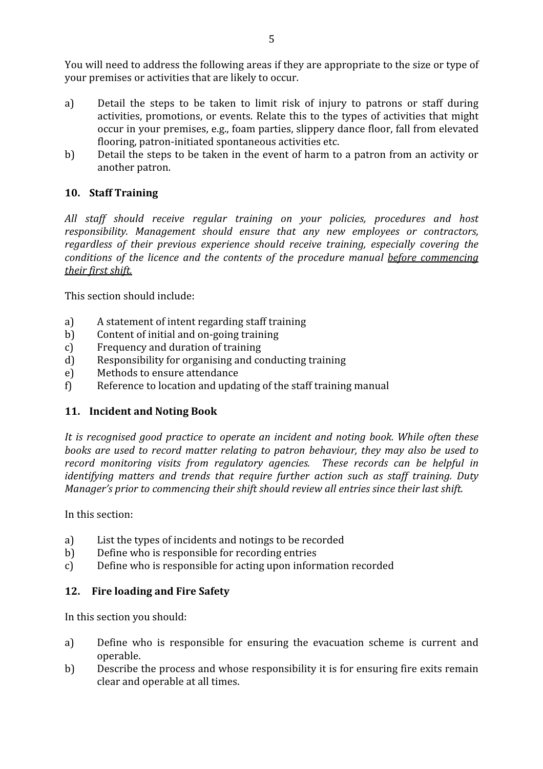You will need to address the following areas if they are appropriate to the size or type of your premises or activities that are likely to occur.

- a) Detail the steps to be taken to limit risk of injury to patrons or staff during activities, promotions, or events. Relate this to the types of activities that might occur in your premises, e.g., foam parties, slippery dance floor, fall from elevated flooring, patron-initiated spontaneous activities etc.
- b) Detail the steps to be taken in the event of harm to a patron from an activity or another patron.

#### 10. Staff Training

All staff should receive regular training on your policies, procedures and host responsibility. Management should ensure that any new employees or contractors, regardless of their previous experience should receive training, especially covering the conditions of the licence and the contents of the procedure manual before commencing their first shift.

This section should include:

- a) A statement of intent regarding staff training
- b) Content of initial and on-going training
- c) Frequency and duration of training
- d) Responsibility for organising and conducting training
- e) Methods to ensure attendance
- f) Reference to location and updating of the staff training manual

#### 11. Incident and Noting Book

It is recognised good practice to operate an incident and noting book. While often these books are used to record matter relating to patron behaviour, they may also be used to record monitoring visits from regulatory agencies. These records can be helpful in identifying matters and trends that require further action such as staff training. Duty Manager's prior to commencing their shift should review all entries since their last shift.

In this section:

- a) List the types of incidents and notings to be recorded
- b) Define who is responsible for recording entries
- c) Define who is responsible for acting upon information recorded

#### 12. Fire loading and Fire Safety

In this section you should:

- a) Define who is responsible for ensuring the evacuation scheme is current and operable.
- b) Describe the process and whose responsibility it is for ensuring fire exits remain clear and operable at all times.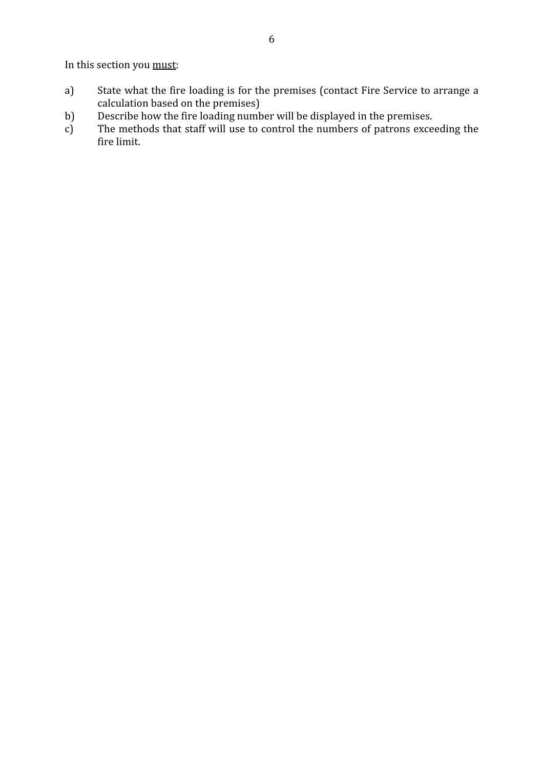In this section you must:

- a) State what the fire loading is for the premises (contact Fire Service to arrange a calculation based on the premises)
- 
- b) Describe how the fire loading number will be displayed in the premises.<br>c) The methods that staff will use to control the numbers of patrons exce c) The methods that staff will use to control the numbers of patrons exceeding the fire limit.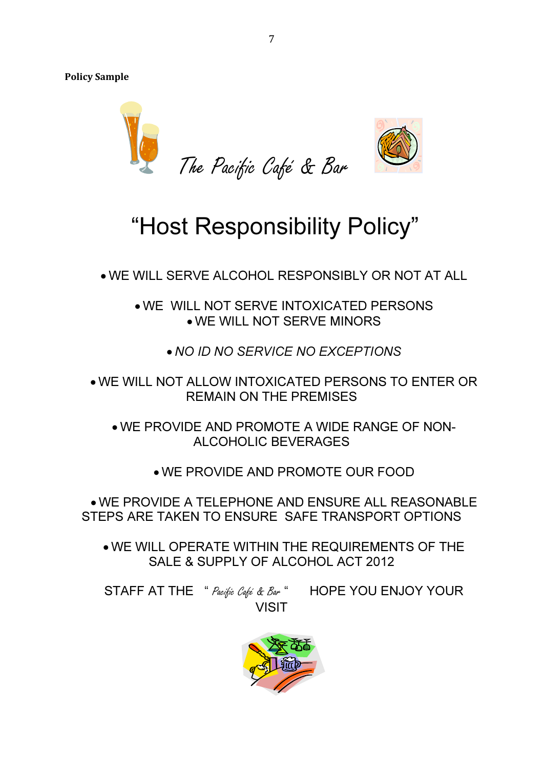Policy Sample



# "Host Responsibility Policy"

• WE WILL SERVE ALCOHOL RESPONSIBLY OR NOT AT ALL

• WE WILL NOT SERVE INTOXICATED PERSONS • WE WILL NOT SERVE MINORS

- NO ID NO SERVICE NO EXCEPTIONS
- WE WILL NOT ALLOW INTOXICATED PERSONS TO ENTER OR REMAIN ON THE PREMISES

• WE PROVIDE AND PROMOTE A WIDE RANGE OF NON-ALCOHOLIC BEVERAGES

• WE PROVIDE AND PROMOTE OUR FOOD

• WE PROVIDE A TELEPHONE AND ENSURE ALL REASONABLE STEPS ARE TAKEN TO ENSURE SAFE TRANSPORT OPTIONS

• WE WILL OPERATE WITHIN THE REQUIREMENTS OF THE SALE & SUPPLY OF ALCOHOL ACT 2012

STAFF AT THE " Pacific Café & Bar " HOPE YOU ENJOY YOUR VISIT

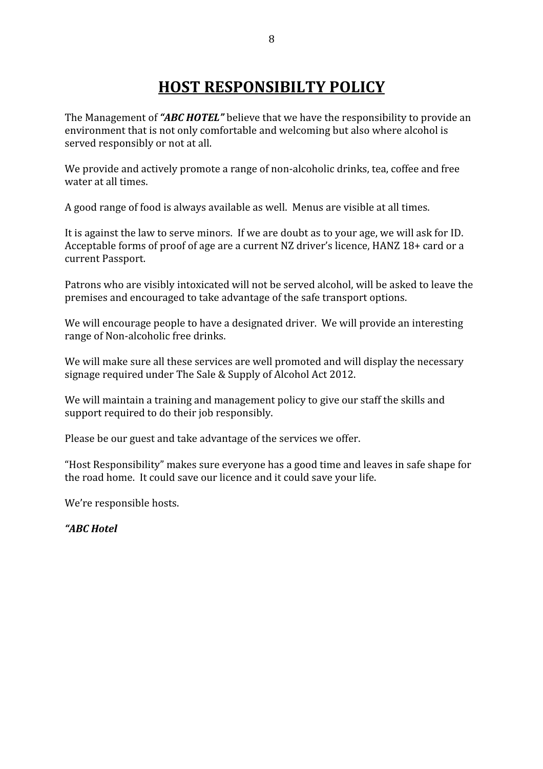# HOST RESPONSIBILTY POLICY

The Management of "ABC HOTEL" believe that we have the responsibility to provide an environment that is not only comfortable and welcoming but also where alcohol is served responsibly or not at all.

We provide and actively promote a range of non-alcoholic drinks, tea, coffee and free water at all times.

A good range of food is always available as well. Menus are visible at all times.

It is against the law to serve minors. If we are doubt as to your age, we will ask for ID. Acceptable forms of proof of age are a current NZ driver's licence, HANZ 18+ card or a current Passport.

Patrons who are visibly intoxicated will not be served alcohol, will be asked to leave the premises and encouraged to take advantage of the safe transport options.

We will encourage people to have a designated driver. We will provide an interesting range of Non-alcoholic free drinks.

We will make sure all these services are well promoted and will display the necessary signage required under The Sale & Supply of Alcohol Act 2012.

We will maintain a training and management policy to give our staff the skills and support required to do their job responsibly.

Please be our guest and take advantage of the services we offer.

"Host Responsibility" makes sure everyone has a good time and leaves in safe shape for the road home. It could save our licence and it could save your life.

We're responsible hosts.

"ABC Hotel